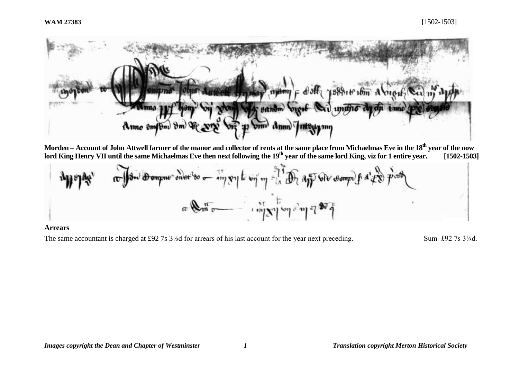

**Morden – Account of John Attwell farmer of the manor and collector of rents at the same place from Michaelmas Eve in the 18th year of the now lord King Henry VII until the same Michaelmas Eve then next following the 19th year of the same lord King, viz for 1 entire year. [1502-1503]**



#### **Arrears**

The same accountant is charged at £92 7s 3<sup>1</sup>/<sub>8</sub>d for arrears of his last account for the year next preceding. Sum £92 7s 3<sup>1</sup>/<sub>8</sub>d.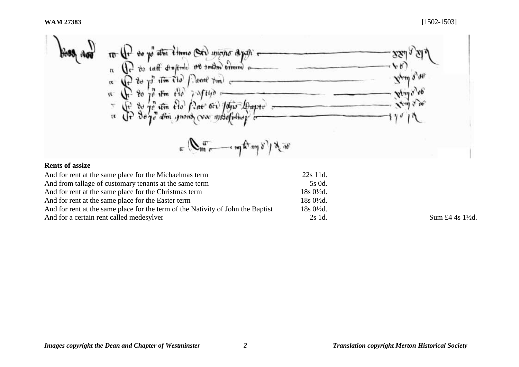$\pi$  (1) de po d'on time ou inche depti -33 De vo taff d'affinite de sindim timme e いど  $\boldsymbol{n}$  $\oint_C$  do  $\int_a^b$   $\lim_{\epsilon \to 0}$  $\mathbf{x}^{\mathbf{t}_{\text{imp}}}\mathbf{s}^{\mathbf{t}_{\text{def}}}$  $\int d\mathbf{r} d\mathbf{r} d\mathbf{r}$  $\mathfrak{n}$  $\int_{0}^{\frac{\pi}{2}}$  80  $\int_{0}^{\frac{\pi}{2}} dF$ m  $t^{1/2}$  $\mathfrak{g}$ wing y' ub  $\mathcal{M}$ the (2) So yo dim Ao Dat' Oil / Syio Lapto - $\tau$  $\frac{1}{2}$ J η  $\pi$  ( $\mathbb{Q}_{m}$  of  $\longrightarrow$  my  $\mathbb{A}$  my  $\mathbb{Z}$ )  $\mathbb{Z}$  at

# **Rents of assize**

| And for rent at the same place for the Michaelmas term                          | $22s$ 11d.           |                  |
|---------------------------------------------------------------------------------|----------------------|------------------|
| And from tallage of customary tenants at the same term                          | 5s 0d.               |                  |
| And for rent at the same place for the Christmas term                           | $18s0\frac{1}{2}d$ . |                  |
| And for rent at the same place for the Easter term                              | $18s0\frac{1}{2}d$ . |                  |
| And for rent at the same place for the term of the Nativity of John the Baptist | $18s0\frac{1}{2}d$ . |                  |
| And for a certain rent called medesylver                                        | 2s 1d.               | Sum £4 4s 1\{2d. |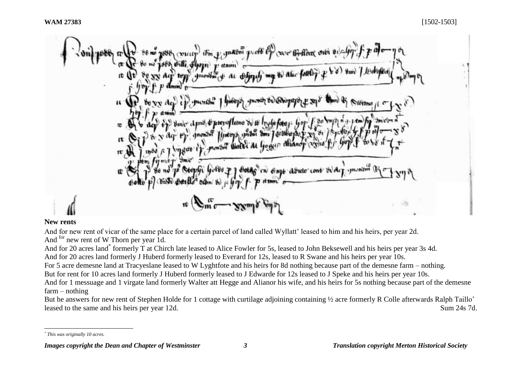#### **New rents**

And for new rent of vicar of the same place for a certain parcel of land called Wyllatt' leased to him and his heirs, per year 2d. And <sup>for</sup> new rent of W Thorn per year 1d.

And for 20 acres land<sup>\*</sup> formerly T at Chirch late leased to Alice Fowler for 5s, leased to John Beksewell and his heirs per year 3s 4d. And for 20 acres land formerly J Huberd formerly leased to Everard for 12s, leased to R Swane and his heirs per year 10s.

For 5 acre demesne land at Tracyeslane leased to W Lyghtfote and his heirs for 8d nothing because part of the demesne farm – nothing.

But for rent for 10 acres land formerly J Huberd formerly leased to J Edwarde for 12s leased to J Speke and his heirs per year 10s.

And for 1 messuage and 1 virgate land formerly Walter att Hegge and Alianor his wife, and his heirs for 5s nothing because part of the demesne farm – nothing

But he answers for new rent of Stephen Holde for 1 cottage with curtilage adjoining containing ½ acre formerly R Colle afterwards Ralph Taillo' leased to the same and his heirs per year 12d. Sum 24s 7d.

l

*<sup>\*</sup> This was originally 10 acres.*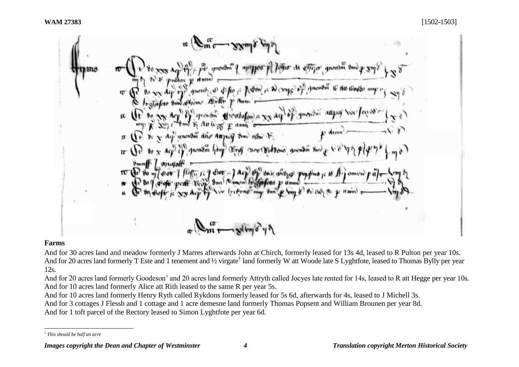# **Farms**

l

And for 30 acres land and meadow formerly J Marres afterwards John at Chirch, formerly leased for 13s 4d, leased to R Pulton per year 10s. And for 20 acres land formerly T Este and 1 tenement and 1/2 virgate<sup>†</sup> land formerly W att Woode late S Lyghtfote, leased to Thomas Bylly per year 12s.

And for 20 acres land formerly Goodeson' and 20 acres land formerly Attryth called Jocyes late rented for 14s, leased to R att Hegge per year 10s. And for 10 acres land formerly Alice att Rith leased to the same R per year 5s.

And for 10 acres land formerly Henry Ryth called Rykdons formerly leased for 5s 6d, afterwards for 4s, leased to J Michell 3s.

And for 3 cottages J Flessh and 1 cottage and 1 acre demesne land formerly Thomas Popsent and William Brounen per year 8d. And for 1 toft parcel of the Rectory leased to Simon Lyghtfote per year 6d.

*<sup>†</sup> This should be half an acre*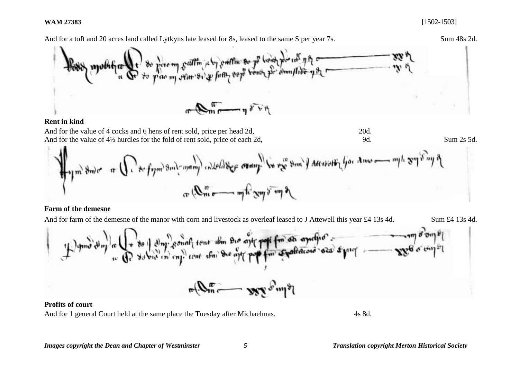#### **WAM 27383** [1502-1503]



And for a toft and 20 acres land called Lytkyns late leased for 8s, leased to the same S per year 7s. Sum 48s 2d.



### **Profits of court**

And for 1 general Court held at the same place the Tuesday after Michaelmas. 4s 8d.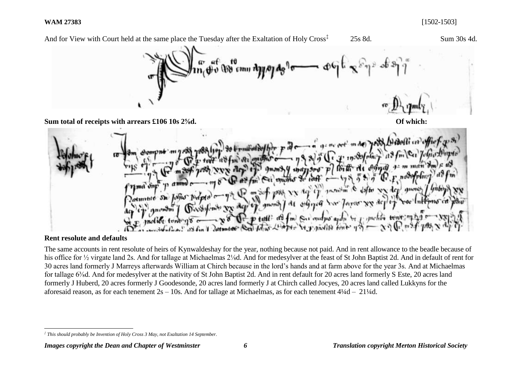

### **Rent resolute and defaults**

The same accounts in rent resolute of heirs of Kynwaldeshay for the year, nothing because not paid. And in rent allowance to the beadle because of his office for 1/2 virgate land 2s. And for tallage at Michaelmas 2<sup>1</sup>/<sub>8</sub>d. And for medesylver at the feast of St John Baptist 2d. And in default of rent for 30 acres land formerly J Marreys afterwards William at Chirch because in the lord's hands and at farm above for the year 3s. And at Michaelmas for tallage 6⅜d. And for medesylver at the nativity of St John Baptist 2d. And in rent default for 20 acres land formerly S Este, 20 acres land formerly J Huberd, 20 acres formerly J Goodesonde, 20 acres land formerly J at Chirch called Jocyes, 20 acres land called Lukkyns for the aforesaid reason, as for each tenement  $2s - 10s$ . And for tallage at Michaelmas, as for each tenement  $4\frac{1}{4}d - 21\frac{1}{4}d$ .

l *‡ This should probably be Invention of Holy Cross 3 May, not Exaltation 14 September.*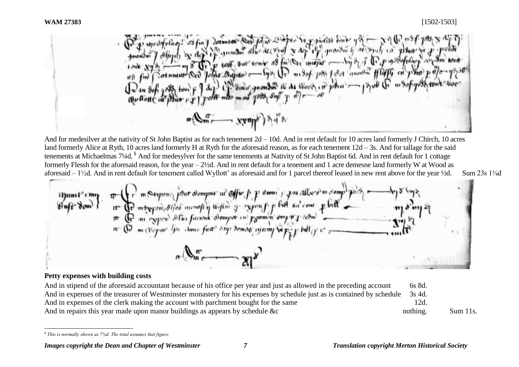Detented that the Lington be pointed fort yo grander Alur accord & dep of ynorthis y at write co glores of prolite D misof poor I det monde fflags en pon pa John Dutrito Chi ding promoto it de Wood in pour - pour in sofyed  $\cdot$ in Sa  $\sum_{m=-\infty}^{\infty}$  young  $\sum_{n=0}^{\infty}$ 

And for medesilver at the nativity of St John Baptist as for each tenement 2d – 10d. And in rent default for 10 acres land formerly J Chirch, 10 acres land formerly Alice at Ryth, 10 acres land formerly H at Ryth for the aforesaid reason, as for each tenement 12d – 3s. And for tallage for the said tenements at Michaelmas 7¼d. § And for medesylver for the same tenements at Nativity of St John Baptist 6d. And in rent default for 1 cottage formerly Flessh for the aforesaid reason, for the year – 2½d. And in rent default for a tenement and 1 acre demesne land formerly W at Wood as aforesaid – 1½d. And in rent default for tenement called Wyllott' as aforesaid and for 1 parcel thereof leased in new rent above for the year ½d. Sum 23s 1⅜d

To the metaponic pour dompose ad office for a dimension allocadem completely 1 (D) on (Voyar' Got Ame fust ony Somoo wam app but

## **Petty expenses with building costs**

And in stipend of the aforesaid accountant because of his office per year and just as allowed in the preceding account 6s 8d. And in expenses of the treasurer of Westminster monastery for his expenses by schedule just as is contained by schedule 3s 4d. And in expenses of the clerk making the account with parchment bought for the same 12d. And in repairs this year made upon manor buildings as appears by schedule  $\&c$  nothing. Sum 11s.

l *§ This is normally shown as 7⅛d. The total assumes that figure.*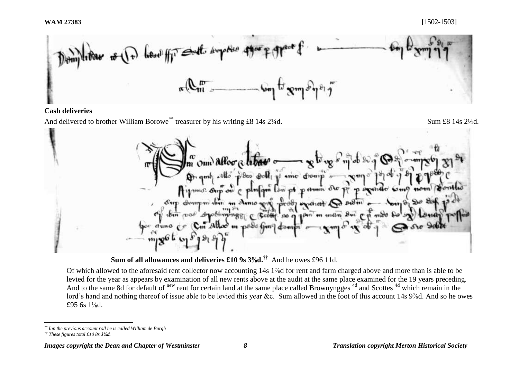

# **Cash deliveries**

And delivered to brother William Borowe<sup>\*\*</sup> treasurer by his writing £8 14s 2¼d. Sum £8 14s 2¼d.



**Sum of all allowances and deliveries £10 9s 3⅝d.††** And he owes £96 11d.

Of which allowed to the aforesaid rent collector now accounting 14s 1<sup>7</sup> d for rent and farm charged above and more than is able to be levied for the year as appears by examination of all new rents above at the audit at the same place examined for the 19 years preceding. And to the same 8d for default of new rent for certain land at the same place called Brownyngges <sup>4d</sup> and Scottes <sup>4d</sup> which remain in the lord's hand and nothing thereof of issue able to be levied this year &c. Sum allowed in the foot of this account 14s 9%d. And so he owes £95 6s  $1\frac{1}{8}$ d.

 $\overline{a}$ 

*<sup>\*\*</sup> Inn the previous account roll he is called William de Burgh*

*<sup>††</sup> These figures total £10 8s 3⅝d.*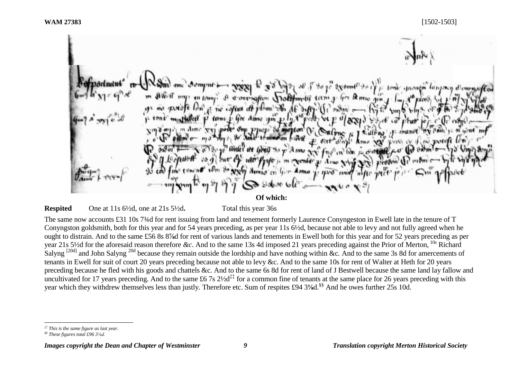connation Molthmill trim  $4 \pi R m$ w collect of 11-m or Amus cn' bon

**Of which:**

**Respited** One at 11s 6½d, one at 21s 5½d**.** Total this year 36s

The same now accounts £31 10s 7¾d for rent issuing from land and tenement formerly Laurence Conyngeston in Ewell late in the tenure of T Conyngston goldsmith, both for this year and for 54 years preceding, as per year 11s 6½d, because not able to levy and not fully agreed when he ought to distrain. And to the same £56 8s 8**⅞**d for rent of various lands and tenements in Ewell both for this year and for 52 years preceding as per year 21s 5½d for the aforesaid reason therefore *&c*. And to the same 13s 4d imposed 21 years preceding against the Prior of Merton, 10s Richard Salyng [20d] and John Salyng 20d because they remain outside the lordship and have nothing within &c*.* And to the same 3s 8d for amercements of tenants in Ewell for suit of court 20 years preceding because not able to levy &c. And to the same 10s for rent of Walter at Heth for 20 years preceding because he fled with his goods and chattels &c. And to the same 6s 8d for rent of land of J Bestwell because the same land lay fallow and uncultivated for 17 years preceding. And to the same £6.7s  $2\frac{1}{2}$  for a common fine of tenants at the same place for 26 years preceding with this year which they withdrew themselves less than justly*.* Therefore etc. Sum of respites £94 3**⅛**d.§§ And he owes further 25s 10d.

 $\overline{a}$ *‡‡ This is the same figure as last year.*

*<sup>§§</sup> These figures total £96 3⅛d.*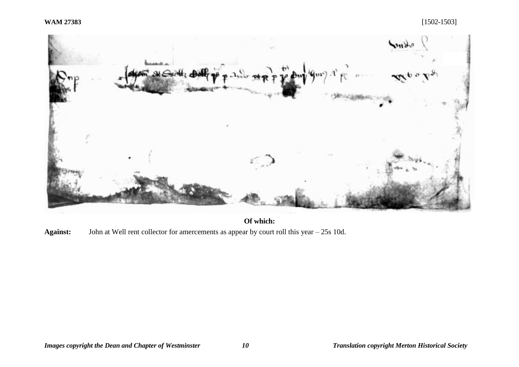

**Of which:**

**Against:** John at Well rent collector for amercements as appear by court roll this year – 25s 10d.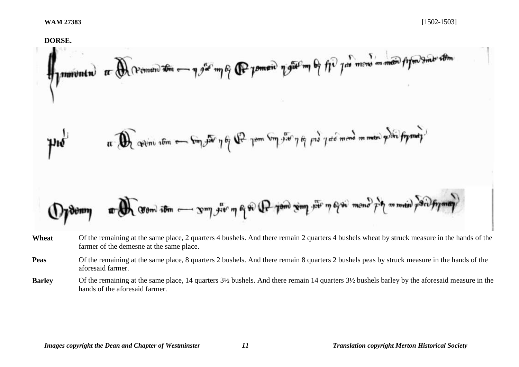POISE.

\nThurvintu 
$$
\pi
$$
 (Perman 36m - 9 J<sup>527</sup> m 6 J<sup>2</sup> [10 m 5m 6 J<sup>2</sup>] [10 J<sup>2</sup>] [10 m cm m m<sup>2</sup>] [10 m 3 m b<sup>2</sup> m b<sup>2</sup> m b<sup>2</sup> m b<sup>2</sup> m b<sup>2</sup> m b<sup>2</sup> m b<sup>2</sup> m b<sup>2</sup> m b<sup>2</sup> m b<sup>2</sup> m b<sup>2</sup> m b<sup>2</sup> m b<sup>2</sup> m b<sup>2</sup> m b<sup>2</sup> m b<sup>2</sup> m b<sup>2</sup> m b<sup>2</sup> m b<sup>2</sup> m b<sup>2</sup> m b<sup>2</sup> m b<sup>2</sup> m b<sup>2</sup> m b<sup>2</sup> m b<sup>2</sup> m b<sup>2</sup> m b<sup>2</sup> m b<sup>2</sup> m b<sup>2</sup> m b<sup>2</sup> m b<sup>2</sup> m b<sup>2</sup> m b<sup>2</sup> m b<sup>2</sup> m b<sup>2</sup> m b<sup>2</sup> m b<sup>2</sup> m b<sup>2</sup> m b<sup>2</sup> m b<sup>2</sup> m b<sup>2</sup> m b<sup>2</sup> m b<sup>2</sup> m b<sup>2</sup> m b<sup>2</sup> m b<sup>2</sup> m b<sup>2</sup> m b<sup>2</sup> m b<sup>2</sup> m b<sup>2</sup> m b<sup>2</sup> m b<sup>2</sup> m b<sup>2</sup> m b<sup>2</sup> m b<sup>2</sup> m b<sup>2</sup> m b<sup>2</sup> m b<sup>2</sup> m b<sup>2</sup> m b<sup>2</sup> m b<sup>2</sup> m b<sup>2</sup> m b<sup>2</sup> m b<sup>2</sup> m b<sup>2</sup> m b<sup>2</sup> m b<sup>2</sup> m b<sup>2</sup> m b<sup>2</sup> m b<sup>2</sup> m b<sup>2</sup> m b<sup>2</sup> m b<sup>2</sup> m b

- Wheat Of the remaining at the same place, 2 quarters 4 bushels. And there remain 2 quarters 4 bushels wheat by struck measure in the hands of the farmer of the demesne at the same place.
- **Peas** Of the remaining at the same place, 8 quarters 2 bushels. And there remain 8 quarters 2 bushels peas by struck measure in the hands of the aforesaid farmer.
- **Barley** Of the remaining at the same place, 14 quarters 3½ bushels. And there remain 14 quarters 3½ bushels barley by the aforesaid measure in the hands of the aforesaid farmer.